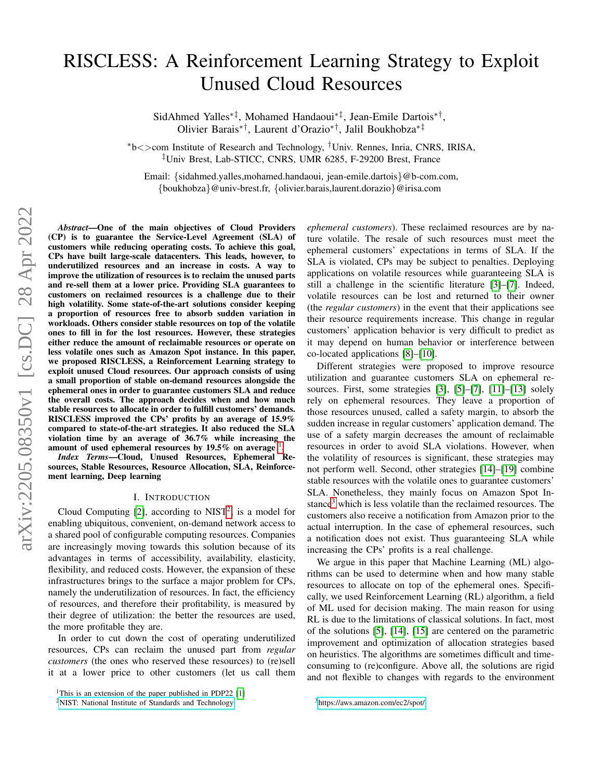# RISCLESS: A Reinforcement Learning Strategy to Exploit Unused Cloud Resources

SidAhmed Yalles∗‡, Mohamed Handaoui∗‡, Jean-Emile Dartois∗† , Olivier Barais∗†, Laurent d'Orazio∗†, Jalil Boukhobza∗‡

<sup>∗</sup>b<>com Institute of Research and Technology, †Univ. Rennes, Inria, CNRS, IRISA, ‡Univ Brest, Lab-STICC, CNRS, UMR 6285, F-29200 Brest, France

Email: {sidahmed.yalles,mohamed.handaoui, jean-emile.dartois}@b-com.com, {boukhobza}@univ-brest.fr, {olivier.barais,laurent.dorazio}@irisa.com

*Abstract*—One of the main objectives of Cloud Providers (CP) is to guarantee the Service-Level Agreement (SLA) of customers while reducing operating costs. To achieve this goal, CPs have built large-scale datacenters. This leads, however, to underutilized resources and an increase in costs. A way to improve the utilization of resources is to reclaim the unused parts and re-sell them at a lower price. Providing SLA guarantees to customers on reclaimed resources is a challenge due to their high volatility. Some state-of-the-art solutions consider keeping a proportion of resources free to absorb sudden variation in workloads. Others consider stable resources on top of the volatile ones to fill in for the lost resources. However, these strategies either reduce the amount of reclaimable resources or operate on less volatile ones such as Amazon Spot instance. In this paper, we proposed RISCLESS, a Reinforcement Learning strategy to exploit unused Cloud resources. Our approach consists of using a small proportion of stable on-demand resources alongside the ephemeral ones in order to guarantee customers SLA and reduce the overall costs. The approach decides when and how much stable resources to allocate in order to fulfill customers' demands. RISCLESS improved the CPs' profits by an average of 15.9% compared to state-of-the-art strategies. It also reduced the SLA violation time by an average of 36.7% while increasing the amount of used ephemeral resources by [1](#page-0-0)9.5% on average .

*Index Terms*—Cloud, Unused Resources, Ephemeral Resources, Stable Resources, Resource Allocation, SLA, Reinforcement learning, Deep learning

#### I. INTRODUCTION

Cloud Computing  $[2]$ , according to NIST<sup>[2](#page-0-1)</sup>, is a model for enabling ubiquitous, convenient, on-demand network access to a shared pool of configurable computing resources. Companies are increasingly moving towards this solution because of its advantages in terms of accessibility, availability, elasticity, flexibility, and reduced costs. However, the expansion of these infrastructures brings to the surface a major problem for CPs, namely the underutilization of resources. In fact, the efficiency of resources, and therefore their profitability, is measured by their degree of utilization: the better the resources are used, the more profitable they are.

In order to cut down the cost of operating underutilized resources, CPs can reclaim the unused part from *regular customers* (the ones who reserved these resources) to (re)sell it at a lower price to other customers (let us call them *ephemeral customers*). These reclaimed resources are by nature volatile. The resale of such resources must meet the ephemeral customers' expectations in terms of SLA. If the SLA is violated, CPs may be subject to penalties. Deploying applications on volatile resources while guaranteeing SLA is still a challenge in the scientific literature [\[3\]](#page-8-2)–[\[7\]](#page-8-3). Indeed, volatile resources can be lost and returned to their owner (the *regular customers*) in the event that their applications see their resource requirements increase. This change in regular customers' application behavior is very difficult to predict as it may depend on human behavior or interference between co-located applications [\[8\]](#page-8-4)–[\[10\]](#page-8-5).

Different strategies were proposed to improve resource utilization and guarantee customers SLA on ephemeral resources. First, some strategies [\[3\]](#page-8-2), [\[5\]](#page-8-6)–[\[7\]](#page-8-3), [\[11\]](#page-8-7)–[\[13\]](#page-8-8) solely rely on ephemeral resources. They leave a proportion of those resources unused, called a safety margin, to absorb the sudden increase in regular customers' application demand. The use of a safety margin decreases the amount of reclaimable resources in order to avoid SLA violations. However, when the volatility of resources is significant, these strategies may not perform well. Second, other strategies [\[14\]](#page-8-9)–[\[19\]](#page-8-10) combine stable resources with the volatile ones to guarantee customers' SLA. Nonetheless, they mainly focus on Amazon Spot In-stance<sup>[3](#page-0-2)</sup> which is less volatile than the reclaimed resources. The customers also receive a notification from Amazon prior to the actual interruption. In the case of ephemeral resources, such a notification does not exist. Thus guaranteeing SLA while increasing the CPs' profits is a real challenge.

We argue in this paper that Machine Learning (ML) algorithms can be used to determine when and how many stable resources to allocate on top of the ephemeral ones. Specifically, we used Reinforcement Learning (RL) algorithm, a field of ML used for decision making. The main reason for using RL is due to the limitations of classical solutions. In fact, most of the solutions [\[5\]](#page-8-6), [\[14\]](#page-8-9), [\[15\]](#page-8-11) are centered on the parametric improvement and optimization of allocation strategies based on heuristics. The algorithms are sometimes difficult and timeconsuming to (re)configure. Above all, the solutions are rigid and not flexible to changes with regards to the environment

<span id="page-0-0"></span><sup>&</sup>lt;sup>1</sup>This is an extension of the paper published in PDP22  $[1]$ 

<span id="page-0-1"></span><sup>2</sup>[NIST: National Institute of Standards and Technology](https://www.nist.gov/)

<span id="page-0-2"></span><sup>3</sup><https://aws.amazon.com/ec2/spot/>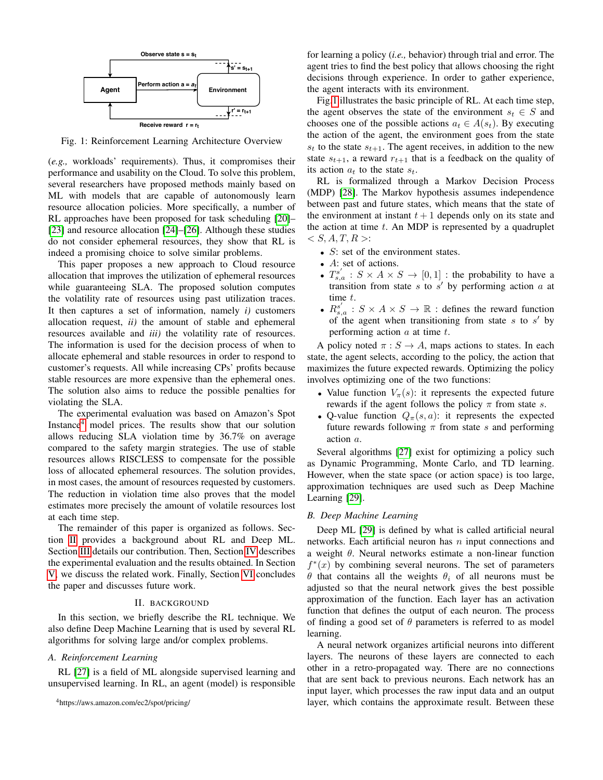<span id="page-1-2"></span>

Fig. 1: Reinforcement Learning Architecture Overview

(*e.g.,* workloads' requirements). Thus, it compromises their performance and usability on the Cloud. To solve this problem, several researchers have proposed methods mainly based on ML with models that are capable of autonomously learn resource allocation policies. More specifically, a number of RL approaches have been proposed for task scheduling [\[20\]](#page-8-12)– [\[23\]](#page-8-13) and resource allocation [\[24\]](#page-8-14)–[\[26\]](#page-8-15). Although these studies do not consider ephemeral resources, they show that RL is indeed a promising choice to solve similar problems.

This paper proposes a new approach to Cloud resource allocation that improves the utilization of ephemeral resources while guaranteeing SLA. The proposed solution computes the volatility rate of resources using past utilization traces. It then captures a set of information, namely *i)* customers allocation request, *ii)* the amount of stable and ephemeral resources available and *iii)* the volatility rate of resources. The information is used for the decision process of when to allocate ephemeral and stable resources in order to respond to customer's requests. All while increasing CPs' profits because stable resources are more expensive than the ephemeral ones. The solution also aims to reduce the possible penalties for violating the SLA.

The experimental evaluation was based on Amazon's Spot Instance<sup>[4](#page-1-0)</sup> model prices. The results show that our solution allows reducing SLA violation time by 36.7% on average compared to the safety margin strategies. The use of stable resources allows RISCLESS to compensate for the possible loss of allocated ephemeral resources. The solution provides, in most cases, the amount of resources requested by customers. The reduction in violation time also proves that the model estimates more precisely the amount of volatile resources lost at each time step.

The remainder of this paper is organized as follows. Section [II](#page-1-1) provides a background about RL and Deep ML. Section [III](#page-2-0) details our contribution. Then, Section [IV](#page-4-0) describes the experimental evaluation and the results obtained. In Section [V,](#page-6-0) we discuss the related work. Finally, Section [VI](#page-7-0) concludes the paper and discusses future work.

#### II. BACKGROUND

<span id="page-1-1"></span>In this section, we briefly describe the RL technique. We also define Deep Machine Learning that is used by several RL algorithms for solving large and/or complex problems.

#### *A. Reinforcement Learning*

RL [\[27\]](#page-8-16) is a field of ML alongside supervised learning and unsupervised learning. In RL, an agent (model) is responsible for learning a policy (*i.e.,* behavior) through trial and error. The agent tries to find the best policy that allows choosing the right decisions through experience. In order to gather experience, the agent interacts with its environment.

Fig[.1](#page-1-2) illustrates the basic principle of RL. At each time step, the agent observes the state of the environment  $s_t \in S$  and chooses one of the possible actions  $a_t \in A(s_t)$ . By executing the action of the agent, the environment goes from the state  $s_t$  to the state  $s_{t+1}$ . The agent receives, in addition to the new state  $s_{t+1}$ , a reward  $r_{t+1}$  that is a feedback on the quality of its action  $a_t$  to the state  $s_t$ .

RL is formalized through a Markov Decision Process (MDP) [\[28\]](#page-8-17). The Markov hypothesis assumes independence between past and future states, which means that the state of the environment at instant  $t + 1$  depends only on its state and the action at time  $t$ . An MDP is represented by a quadruplet  $\langle S, A, T, R \rangle$ :

- $S$ : set of the environment states.
- A: set of actions.
- $T_{s,a}^{s'} : S \times A \times S \rightarrow [0,1]$  : the probability to have a transition from state  $s$  to  $s'$  by performing action  $a$  at time t.
- $R_{s,a}^{s'} : S \times A \times S \rightarrow \mathbb{R}$  : defines the reward function of the agent when transitioning from state  $s$  to  $s'$  by performing action  $a$  at time  $t$ .

A policy noted  $\pi : S \to A$ , maps actions to states. In each state, the agent selects, according to the policy, the action that maximizes the future expected rewards. Optimizing the policy involves optimizing one of the two functions:

- Value function  $V_{\pi}(s)$ : it represents the expected future rewards if the agent follows the policy  $\pi$  from state s.
- Q-value function  $Q_{\pi}(s, a)$ : it represents the expected future rewards following  $\pi$  from state s and performing action a.

Several algorithms [\[27\]](#page-8-16) exist for optimizing a policy such as Dynamic Programming, Monte Carlo, and TD learning. However, when the state space (or action space) is too large, approximation techniques are used such as Deep Machine Learning [\[29\]](#page-8-18).

#### *B. Deep Machine Learning*

Deep ML [\[29\]](#page-8-18) is defined by what is called artificial neural networks. Each artificial neuron has  $n$  input connections and a weight θ. Neural networks estimate a non-linear function  $f^*(x)$  by combining several neurons. The set of parameters θ that contains all the weights  $θ<sub>i</sub>$  of all neurons must be adjusted so that the neural network gives the best possible approximation of the function. Each layer has an activation function that defines the output of each neuron. The process of finding a good set of  $\theta$  parameters is referred to as model learning.

A neural network organizes artificial neurons into different layers. The neurons of these layers are connected to each other in a retro-propagated way. There are no connections that are sent back to previous neurons. Each network has an input layer, which processes the raw input data and an output layer, which contains the approximate result. Between these

<span id="page-1-0"></span><sup>4</sup>https://aws.amazon.com/ec2/spot/pricing/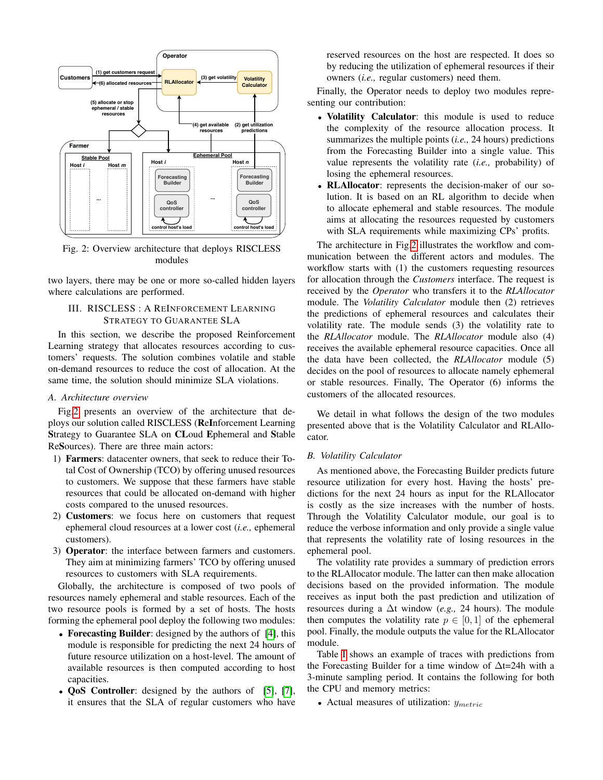<span id="page-2-1"></span>

Fig. 2: Overview architecture that deploys RISCLESS modules

two layers, there may be one or more so-called hidden layers where calculations are performed.

## <span id="page-2-0"></span>III. RISCLESS : A REINFORCEMENT LEARNING STRATEGY TO GUARANTEE SLA

In this section, we describe the proposed Reinforcement Learning strategy that allocates resources according to customers' requests. The solution combines volatile and stable on-demand resources to reduce the cost of allocation. At the same time, the solution should minimize SLA violations.

#### *A. Architecture overview*

Fig[.2](#page-2-1) presents an overview of the architecture that deploys our solution called RISCLESS (ReInforcement Learning Strategy to Guarantee SLA on CLoud Ephemeral and Stable ReSources). There are three main actors:

- 1) Farmers: datacenter owners, that seek to reduce their Total Cost of Ownership (TCO) by offering unused resources to customers. We suppose that these farmers have stable resources that could be allocated on-demand with higher costs compared to the unused resources.
- 2) Customers: we focus here on customers that request ephemeral cloud resources at a lower cost (*i.e.,* ephemeral customers).
- 3) Operator: the interface between farmers and customers. They aim at minimizing farmers' TCO by offering unused resources to customers with SLA requirements.

Globally, the architecture is composed of two pools of resources namely ephemeral and stable resources. Each of the two resource pools is formed by a set of hosts. The hosts forming the ephemeral pool deploy the following two modules:

- Forecasting Builder: designed by the authors of [\[4\]](#page-8-19), this module is responsible for predicting the next 24 hours of future resource utilization on a host-level. The amount of available resources is then computed according to host capacities.
- **QoS** Controller: designed by the authors of [\[5\]](#page-8-6), [\[7\]](#page-8-3), it ensures that the SLA of regular customers who have

reserved resources on the host are respected. It does so by reducing the utilization of ephemeral resources if their owners (*i.e.,* regular customers) need them.

Finally, the Operator needs to deploy two modules representing our contribution:

- Volatility Calculator: this module is used to reduce the complexity of the resource allocation process. It summarizes the multiple points (*i.e.,* 24 hours) predictions from the Forecasting Builder into a single value. This value represents the volatility rate (*i.e.,* probability) of losing the ephemeral resources.
- RLAllocator: represents the decision-maker of our solution. It is based on an RL algorithm to decide when to allocate ephemeral and stable resources. The module aims at allocating the resources requested by customers with SLA requirements while maximizing CPs' profits.

The architecture in Fig[.2](#page-2-1) illustrates the workflow and communication between the different actors and modules. The workflow starts with (1) the customers requesting resources for allocation through the *Customers* interface. The request is received by the *Operator* who transfers it to the *RLAllocator* module. The *Volatility Calculator* module then (2) retrieves the predictions of ephemeral resources and calculates their volatility rate. The module sends (3) the volatility rate to the *RLAllocator* module. The *RLAllocator* module also (4) receives the available ephemeral resource capacities. Once all the data have been collected, the *RLAllocator* module (5) decides on the pool of resources to allocate namely ephemeral or stable resources. Finally, The Operator (6) informs the customers of the allocated resources.

We detail in what follows the design of the two modules presented above that is the Volatility Calculator and RLAllocator.

### *B. Volatility Calculator*

As mentioned above, the Forecasting Builder predicts future resource utilization for every host. Having the hosts' predictions for the next 24 hours as input for the RLAllocator is costly as the size increases with the number of hosts. Through the Volatility Calculator module, our goal is to reduce the verbose information and only provide a single value that represents the volatility rate of losing resources in the ephemeral pool.

The volatility rate provides a summary of prediction errors to the RLAllocator module. The latter can then make allocation decisions based on the provided information. The module receives as input both the past prediction and utilization of resources during a ∆t window (*e.g.,* 24 hours). The module then computes the volatility rate  $p \in [0, 1]$  of the ephemeral pool. Finally, the module outputs the value for the RLAllocator module.

Table [I](#page-3-0) shows an example of traces with predictions from the Forecasting Builder for a time window of ∆t=24h with a 3-minute sampling period. It contains the following for both the CPU and memory metrics:

• Actual measures of utilization:  $y_{metric}$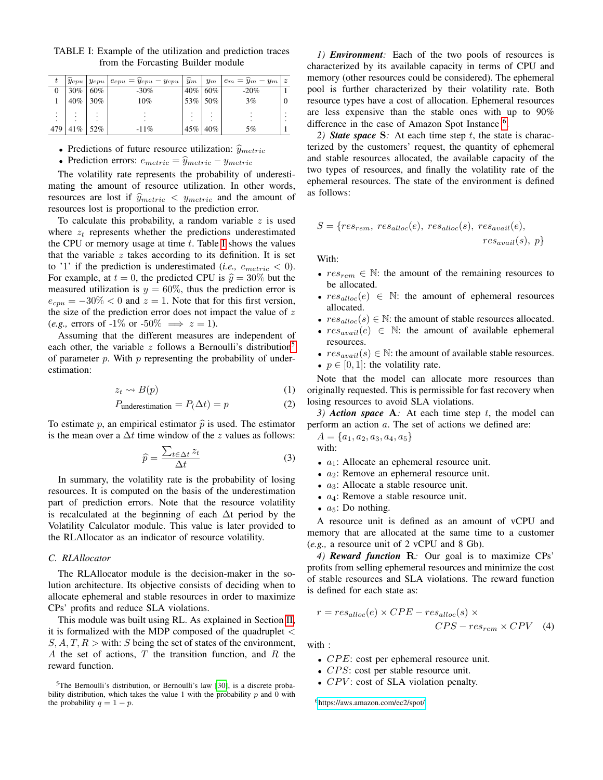| t              | $y_{cpu}$ | $ y_{cpu} $ | $e_{cpu} = y_{cpu} - y_{cpu}$ | $y_m$  | $y_m$ | $e_m = y_m$<br>$-y_m$ | $\boldsymbol{z}$ |
|----------------|-----------|-------------|-------------------------------|--------|-------|-----------------------|------------------|
| 0              | 30%       | 60%         | $-30\%$                       | 40%    | 60%   | $-20%$                |                  |
|                | 40%       | 30%         | 10%                           | $53\%$ | 50%   | 3%                    | 0                |
| ٠              |           |             |                               |        |       |                       |                  |
| $\blacksquare$ |           |             |                               |        |       |                       |                  |
| 479            | 41%       | 52%         | $-11%$                        | 45%    | 40%   | 5%                    |                  |

<span id="page-3-0"></span>TABLE I: Example of the utilization and prediction traces from the Forcasting Builder module

• Predictions of future resource utilization:  $\hat{y}_{metric}$ 

• Prediction errors:  $e_{metric} = \hat{y}_{metric} - y_{metric}$ 

The volatility rate represents the probability of underestimating the amount of resource utilization. In other words, resources are lost if  $\hat{y}_{metric} < y_{metric}$  and the amount of resources lost is proportional to the prediction error.

To calculate this probability, a random variable  $z$  is used where  $z_t$  represents whether the predictions underestimated the CPU or memory usage at time  $t$ . Table [I](#page-3-0) shows the values that the variable  $z$  takes according to its definition. It is set to '1' if the prediction is underestimated (*i.e.*,  $e_{metric} < 0$ ). For example, at  $t = 0$ , the predicted CPU is  $\hat{y} = 30\%$  but the measured utilization is  $y = 60\%$ , thus the prediction error is  $e_{cpu} = -30\% < 0$  and  $z = 1$ . Note that for this first version, the size of the prediction error does not impact the value of  $z$ (*e.g.*, errors of  $-1\%$  or  $-50\% \implies z = 1$ ).

Assuming that the different measures are independent of each other, the variable z follows a Bernoulli's distribution<sup>[5](#page-3-1)</sup> of parameter  $p$ . With  $p$  representing the probability of underestimation:

$$
z_t \leadsto B(p) \tag{1}
$$

$$
P_{\text{underestimation}} = P(\Delta t) = p \tag{2}
$$

To estimate p, an empirical estimator  $\hat{p}$  is used. The estimator is the mean over a  $\Delta t$  time window of the z values as follows:

$$
\widehat{p} = \frac{\sum_{t \in \Delta t} z_t}{\Delta t} \tag{3}
$$

In summary, the volatility rate is the probability of losing resources. It is computed on the basis of the underestimation part of prediction errors. Note that the resource volatility is recalculated at the beginning of each ∆t period by the Volatility Calculator module. This value is later provided to the RLAllocator as an indicator of resource volatility.

## *C. RLAllocator*

The RLAllocator module is the decision-maker in the solution architecture. Its objective consists of deciding when to allocate ephemeral and stable resources in order to maximize CPs' profits and reduce SLA violations.

This module was built using RL. As explained in Section [II,](#page-1-1) it is formalized with the MDP composed of the quadruplet  $\lt$  $S, A, T, R >$  with: S being the set of states of the environment, A the set of actions,  $T$  the transition function, and  $R$  the reward function.

*1) Environment:* Each of the two pools of resources is characterized by its available capacity in terms of CPU and memory (other resources could be considered). The ephemeral pool is further characterized by their volatility rate. Both resource types have a cost of allocation. Ephemeral resources are less expensive than the stable ones with up to 90% difference in the case of Amazon Spot Instance <sup>[6](#page-3-2)</sup>.

<span id="page-3-3"></span>2) *State space* S: At each time step t, the state is characterized by the customers' request, the quantity of ephemeral and stable resources allocated, the available capacity of the two types of resources, and finally the volatility rate of the ephemeral resources. The state of the environment is defined as follows:

$$
S = \{res_{rem}, res_{alloc}(e), res_{alloc}(s), res_{avail}(e),\n \begin{aligned}\n \text{res}_{avail}(s), \ p \} \end{aligned}
$$

With:

- $res_{rem} \in \mathbb{N}$ : the amount of the remaining resources to be allocated.
- $res_{alloc}(e) \in \mathbb{N}$ : the amount of ephemeral resources allocated.
- $res_{alloc}(s) \in \mathbb{N}$ : the amount of stable resources allocated.
- $res_{avail}(e) \in \mathbb{N}$ : the amount of available ephemeral resources.
- $res_{avail}(s) \in \mathbb{N}$ : the amount of available stable resources.
- $p \in [0, 1]$ : the volatility rate.

Note that the model can allocate more resources than originally requested. This is permissible for fast recovery when losing resources to avoid SLA violations.

*3) Action space* A*:* At each time step t, the model can perform an action a. The set of actions we defined are:

 $A = \{a_1, a_2, a_3, a_4, a_5\}$ with:

- $a_1$ : Allocate an ephemeral resource unit.
- $a_2$ : Remove an ephemeral resource unit.
- $a_3$ : Allocate a stable resource unit.
- $a_4$ : Remove a stable resource unit.
- $a_5$ : Do nothing.

A resource unit is defined as an amount of vCPU and memory that are allocated at the same time to a customer (*e.g.,* a resource unit of 2 vCPU and 8 Gb).

*4) Reward function* R*:* Our goal is to maximize CPs' profits from selling ephemeral resources and minimize the cost of stable resources and SLA violations. The reward function is defined for each state as:

$$
r = res_{alloc}(e) \times CPE - res_{alloc}(s) \times
$$
  
\n
$$
CPS - res_{rem} \times CPV
$$
 (4)

with :

- $CPE$ : cost per ephemeral resource unit.
- $CPS$ : cost per stable resource unit.
- $CPV$ : cost of SLA violation penalty.

<span id="page-3-2"></span><sup>6</sup><https://aws.amazon.com/ec2/spot/>

<span id="page-3-1"></span><sup>&</sup>lt;sup>5</sup>The Bernoulli's distribution, or Bernoulli's law [\[30\]](#page-8-20), is a discrete probability distribution, which takes the value 1 with the probability  $p$  and 0 with the probability  $q = 1 - p$ .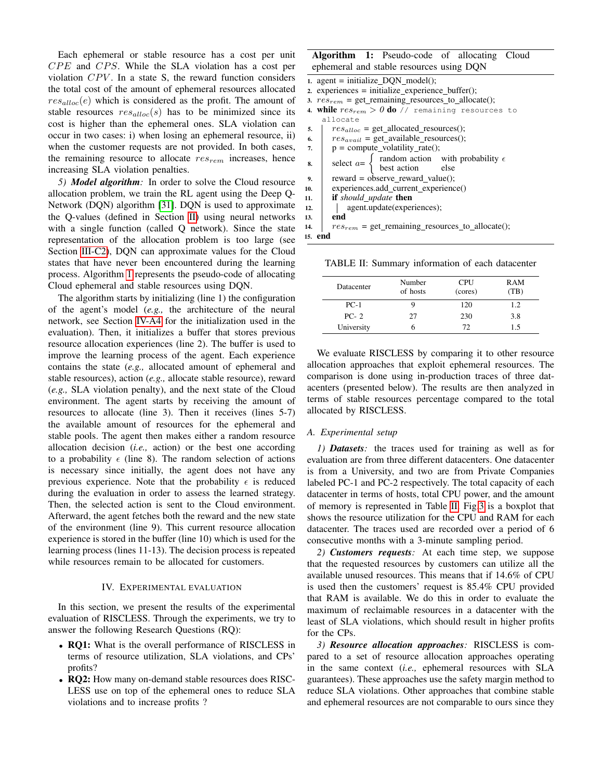Each ephemeral or stable resource has a cost per unit  $CPE$  and  $CPS$ . While the SLA violation has a cost per violation  $CPV$ . In a state S, the reward function considers the total cost of the amount of ephemeral resources allocated  $res_{alloc}(e)$  which is considered as the profit. The amount of stable resources  $res_{alloc}(s)$  has to be minimized since its cost is higher than the ephemeral ones. SLA violation can occur in two cases: i) when losing an ephemeral resource, ii) when the customer requests are not provided. In both cases, the remaining resource to allocate  $res_{rem}$  increases, hence increasing SLA violation penalties.

*5) Model algorithm:* In order to solve the Cloud resource allocation problem, we train the RL agent using the Deep Q-Network (DQN) algorithm [\[31\]](#page-8-21). DQN is used to approximate the Q-values (defined in Section [II\)](#page-1-1) using neural networks with a single function (called Q network). Since the state representation of the allocation problem is too large (see Section [III-C2\)](#page-3-3), DQN can approximate values for the Cloud states that have never been encountered during the learning process. Algorithm [1](#page-4-1) represents the pseudo-code of allocating Cloud ephemeral and stable resources using DQN.

The algorithm starts by initializing (line 1) the configuration of the agent's model (*e.g.,* the architecture of the neural network, see Section [IV-A4](#page-5-0) for the initialization used in the evaluation). Then, it initializes a buffer that stores previous resource allocation experiences (line 2). The buffer is used to improve the learning process of the agent. Each experience contains the state (*e.g.,* allocated amount of ephemeral and stable resources), action (*e.g.,* allocate stable resource), reward (*e.g.,* SLA violation penalty), and the next state of the Cloud environment. The agent starts by receiving the amount of resources to allocate (line 3). Then it receives (lines 5-7) the available amount of resources for the ephemeral and stable pools. The agent then makes either a random resource allocation decision (*i.e.,* action) or the best one according to a probability  $\epsilon$  (line 8). The random selection of actions is necessary since initially, the agent does not have any previous experience. Note that the probability  $\epsilon$  is reduced during the evaluation in order to assess the learned strategy. Then, the selected action is sent to the Cloud environment. Afterward, the agent fetches both the reward and the new state of the environment (line 9). This current resource allocation experience is stored in the buffer (line 10) which is used for the learning process (lines 11-13). The decision process is repeated while resources remain to be allocated for customers.

#### IV. EXPERIMENTAL EVALUATION

<span id="page-4-0"></span>In this section, we present the results of the experimental evaluation of RISCLESS. Through the experiments, we try to answer the following Research Questions (RQ):

- RQ1: What is the overall performance of RISCLESS in terms of resource utilization, SLA violations, and CPs' profits?
- RQ2: How many on-demand stable resources does RISC-LESS use on top of the ephemeral ones to reduce SLA violations and to increase profits ?

## Algorithm 1: Pseudo-code of allocating Cloud ephemeral and stable resources using DQN

|     | 1. agent = initialize $DOM \text{ model}$ .                                              |  |  |  |  |  |
|-----|------------------------------------------------------------------------------------------|--|--|--|--|--|
|     | $z$ . experiences = initialize_experience_buffer();                                      |  |  |  |  |  |
|     | 3. $res_{rem}$ = get_remaining_resources_to_allocate();                                  |  |  |  |  |  |
|     | 4. while $res_{rem} > 0$ do // remaining resources to                                    |  |  |  |  |  |
|     | allocate                                                                                 |  |  |  |  |  |
| 5.  | $res_{alloc}$ = get allocated resources();                                               |  |  |  |  |  |
| 6.  | $res_{avail}$ = get available resources();                                               |  |  |  |  |  |
| 7.  | $p = compute\_volatility_rate();$                                                        |  |  |  |  |  |
| 8.  | select $a = \begin{cases}$ random action with probability $\epsilon$<br>best action else |  |  |  |  |  |
|     |                                                                                          |  |  |  |  |  |
| 9.  | reward = observe reward value();                                                         |  |  |  |  |  |
| 10. | experiences.add current experience()                                                     |  |  |  |  |  |
| 11. | <b>if</b> should update then                                                             |  |  |  |  |  |
| 12. | agent.update(experiences);                                                               |  |  |  |  |  |
| 13. | end                                                                                      |  |  |  |  |  |
| 14. | $res_{rem}$ = get_remaining_resources_to_allocate();                                     |  |  |  |  |  |
|     | 15. end                                                                                  |  |  |  |  |  |

<span id="page-4-2"></span><span id="page-4-1"></span>TABLE II: Summary information of each datacenter

| Datacenter | Number<br>of hosts | <b>CPU</b><br>(cores) | RAM<br>(TB) |
|------------|--------------------|-----------------------|-------------|
| $PC-1$     |                    | 120                   | 1.2         |
| $PC-2$     | 27                 | 230                   | 3.8         |
| University |                    | 72.                   | 1.5         |

We evaluate RISCLESS by comparing it to other resource allocation approaches that exploit ephemeral resources. The comparison is done using in-production traces of three datacenters (presented below). The results are then analyzed in terms of stable resources percentage compared to the total allocated by RISCLESS.

### *A. Experimental setup*

*1) Datasets:* the traces used for training as well as for evaluation are from three different datacenters. One datacenter is from a University, and two are from Private Companies labeled PC-1 and PC-2 respectively. The total capacity of each datacenter in terms of hosts, total CPU power, and the amount of memory is represented in Table [II.](#page-4-2) Fig[.3](#page-5-1) is a boxplot that shows the resource utilization for the CPU and RAM for each datacenter. The traces used are recorded over a period of 6 consecutive months with a 3-minute sampling period.

<span id="page-4-3"></span>*2) Customers requests:* At each time step, we suppose that the requested resources by customers can utilize all the available unused resources. This means that if 14.6% of CPU is used then the customers' request is 85.4% CPU provided that RAM is available. We do this in order to evaluate the maximum of reclaimable resources in a datacenter with the least of SLA violations, which should result in higher profits for the CPs.

*3) Resource allocation approaches:* RISCLESS is compared to a set of resource allocation approaches operating in the same context (*i.e.,* ephemeral resources with SLA guarantees). These approaches use the safety margin method to reduce SLA violations. Other approaches that combine stable and ephemeral resources are not comparable to ours since they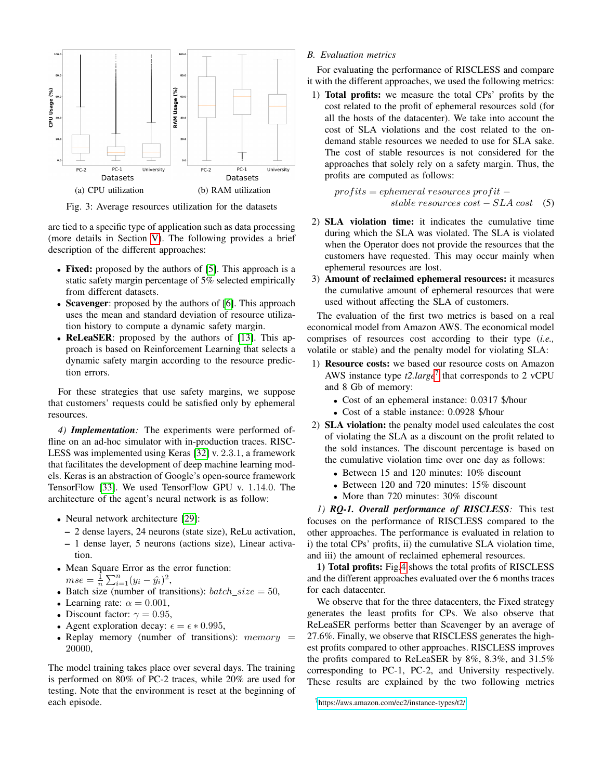<span id="page-5-1"></span>

Fig. 3: Average resources utilization for the datasets

are tied to a specific type of application such as data processing (more details in Section [V\)](#page-6-0). The following provides a brief description of the different approaches:

- Fixed: proposed by the authors of [\[5\]](#page-8-6). This approach is a static safety margin percentage of 5% selected empirically from different datasets.
- Scavenger: proposed by the authors of [\[6\]](#page-8-22). This approach uses the mean and standard deviation of resource utilization history to compute a dynamic safety margin.
- ReLeaSER: proposed by the authors of [\[13\]](#page-8-8). This approach is based on Reinforcement Learning that selects a dynamic safety margin according to the resource prediction errors.

For these strategies that use safety margins, we suppose that customers' requests could be satisfied only by ephemeral resources.

<span id="page-5-0"></span>*4) Implementation:* The experiments were performed offline on an ad-hoc simulator with in-production traces. RISC-LESS was implemented using Keras [\[32\]](#page-8-23) v. 2.3.1, a framework that facilitates the development of deep machine learning models. Keras is an abstraction of Google's open-source framework TensorFlow [\[33\]](#page-8-24). We used TensorFlow GPU v. 1.14.0. The architecture of the agent's neural network is as follow:

- Neural network architecture [\[29\]](#page-8-18):
	- 2 dense layers, 24 neurons (state size), ReLu activation, – 1 dense layer, 5 neurons (actions size), Linear activation.
- Mean Square Error as the error function:  $mse = \frac{1}{n} \sum_{i=1}^{n} (y_i - \hat{y}_i)^2,$
- Batch size (number of transitions):  $batch\_size = 50$ ,
- Learning rate:  $\alpha = 0.001$ ,
- Discount factor:  $\gamma = 0.95$ ,
- Agent exploration decay:  $\epsilon = \epsilon * 0.995$ ,
- Replay memory (number of transitions):  $memory =$ 20000,

The model training takes place over several days. The training is performed on 80% of PC-2 traces, while 20% are used for testing. Note that the environment is reset at the beginning of each episode.

*B. Evaluation metrics*

For evaluating the performance of RISCLESS and compare it with the different approaches, we used the following metrics:

1) Total profits: we measure the total CPs' profits by the cost related to the profit of ephemeral resources sold (for all the hosts of the datacenter). We take into account the cost of SLA violations and the cost related to the ondemand stable resources we needed to use for SLA sake. The cost of stable resources is not considered for the approaches that solely rely on a safety margin. Thus, the profits are computed as follows:

$$
profits = ephemeral\ resources\ profit -\\ stable\ resources\ cost - SLA\ cost\tag{5}
$$

- 2) SLA violation time: it indicates the cumulative time during which the SLA was violated. The SLA is violated when the Operator does not provide the resources that the customers have requested. This may occur mainly when ephemeral resources are lost.
- 3) Amount of reclaimed ephemeral resources: it measures the cumulative amount of ephemeral resources that were used without affecting the SLA of customers.

The evaluation of the first two metrics is based on a real economical model from Amazon AWS. The economical model comprises of resources cost according to their type (*i.e.,* volatile or stable) and the penalty model for violating SLA:

- 1) Resource costs: we based our resource costs on Amazon AWS instance type *t2.large*[7](#page-5-2) that corresponds to 2 vCPU and 8 Gb of memory:
	- Cost of an ephemeral instance: 0.0317 \$/hour
	- Cost of a stable instance: 0.0928 \$/hour
- 2) SLA violation: the penalty model used calculates the cost of violating the SLA as a discount on the profit related to the sold instances. The discount percentage is based on the cumulative violation time over one day as follows:
	- Between 15 and 120 minutes: 10% discount
	- Between 120 and 720 minutes: 15% discount
	- More than 720 minutes: 30% discount

*1) RQ-1. Overall performance of RISCLESS:* This test focuses on the performance of RISCLESS compared to the other approaches. The performance is evaluated in relation to i) the total CPs' profits, ii) the cumulative SLA violation time, and iii) the amount of reclaimed ephemeral resources.

1) Total profits: Fig[.4](#page-7-1) shows the total profits of RISCLESS and the different approaches evaluated over the 6 months traces for each datacenter.

We observe that for the three datacenters, the Fixed strategy generates the least profits for CPs. We also observe that ReLeaSER performs better than Scavenger by an average of 27.6%. Finally, we observe that RISCLESS generates the highest profits compared to other approaches. RISCLESS improves the profits compared to ReLeaSER by 8%, 8.3%, and 31.5% corresponding to PC-1, PC-2, and University respectively. These results are explained by the two following metrics

<span id="page-5-2"></span><sup>7</sup><https://aws.amazon.com/ec2/instance-types/t2/>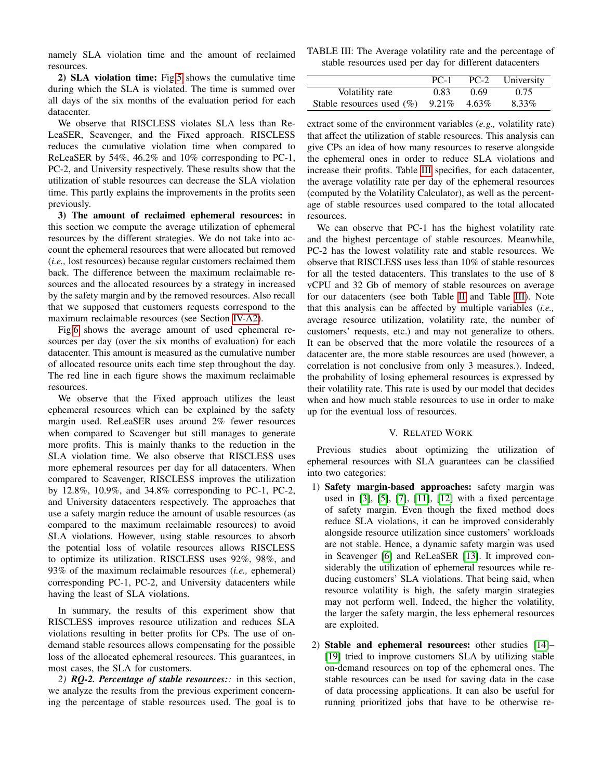namely SLA violation time and the amount of reclaimed resources.

2) SLA violation time: Fig[.5](#page-7-2) shows the cumulative time during which the SLA is violated. The time is summed over all days of the six months of the evaluation period for each datacenter.

We observe that RISCLESS violates SLA less than Re-LeaSER, Scavenger, and the Fixed approach. RISCLESS reduces the cumulative violation time when compared to ReLeaSER by 54%, 46.2% and 10% corresponding to PC-1, PC-2, and University respectively. These results show that the utilization of stable resources can decrease the SLA violation time. This partly explains the improvements in the profits seen previously.

3) The amount of reclaimed ephemeral resources: in this section we compute the average utilization of ephemeral resources by the different strategies. We do not take into account the ephemeral resources that were allocated but removed (*i.e.,* lost resources) because regular customers reclaimed them back. The difference between the maximum reclaimable resources and the allocated resources by a strategy in increased by the safety margin and by the removed resources. Also recall that we supposed that customers requests correspond to the maximum reclaimable resources (see Section [IV-A2\)](#page-4-3).

Fig[.6](#page-7-3) shows the average amount of used ephemeral resources per day (over the six months of evaluation) for each datacenter. This amount is measured as the cumulative number of allocated resource units each time step throughout the day. The red line in each figure shows the maximum reclaimable resources.

We observe that the Fixed approach utilizes the least ephemeral resources which can be explained by the safety margin used. ReLeaSER uses around 2% fewer resources when compared to Scavenger but still manages to generate more profits. This is mainly thanks to the reduction in the SLA violation time. We also observe that RISCLESS uses more ephemeral resources per day for all datacenters. When compared to Scavenger, RISCLESS improves the utilization by 12.8%, 10.9%, and 34.8% corresponding to PC-1, PC-2, and University datacenters respectively. The approaches that use a safety margin reduce the amount of usable resources (as compared to the maximum reclaimable resources) to avoid SLA violations. However, using stable resources to absorb the potential loss of volatile resources allows RISCLESS to optimize its utilization. RISCLESS uses 92%, 98%, and 93% of the maximum reclaimable resources (*i.e.,* ephemeral) corresponding PC-1, PC-2, and University datacenters while having the least of SLA violations.

In summary, the results of this experiment show that RISCLESS improves resource utilization and reduces SLA violations resulting in better profits for CPs. The use of ondemand stable resources allows compensating for the possible loss of the allocated ephemeral resources. This guarantees, in most cases, the SLA for customers.

*2) RQ-2. Percentage of stable resources::* in this section, we analyze the results from the previous experiment concerning the percentage of stable resources used. The goal is to

<span id="page-6-1"></span>

| TABLE III: The Average volatility rate and the percentage of |
|--------------------------------------------------------------|
| stable resources used per day for different datacenters      |

|                               | $PC-1$          |      | PC-2 University |
|-------------------------------|-----------------|------|-----------------|
| Volatility rate               | 0.83            | 0.69 | 0.75            |
| Stable resources used $(\% )$ | $9.21\%$ 4.63\% |      | 8.33%           |

extract some of the environment variables (*e.g.,* volatility rate) that affect the utilization of stable resources. This analysis can give CPs an idea of how many resources to reserve alongside the ephemeral ones in order to reduce SLA violations and increase their profits. Table [III](#page-6-1) specifies, for each datacenter, the average volatility rate per day of the ephemeral resources (computed by the Volatility Calculator), as well as the percentage of stable resources used compared to the total allocated resources.

We can observe that PC-1 has the highest volatility rate and the highest percentage of stable resources. Meanwhile, PC-2 has the lowest volatility rate and stable resources. We observe that RISCLESS uses less than 10% of stable resources for all the tested datacenters. This translates to the use of 8 vCPU and 32 Gb of memory of stable resources on average for our datacenters (see both Table [II](#page-4-2) and Table [III\)](#page-6-1). Note that this analysis can be affected by multiple variables (*i.e.,* average resource utilization, volatility rate, the number of customers' requests, etc.) and may not generalize to others. It can be observed that the more volatile the resources of a datacenter are, the more stable resources are used (however, a correlation is not conclusive from only 3 measures.). Indeed, the probability of losing ephemeral resources is expressed by their volatility rate. This rate is used by our model that decides when and how much stable resources to use in order to make up for the eventual loss of resources.

### V. RELATED WORK

<span id="page-6-0"></span>Previous studies about optimizing the utilization of ephemeral resources with SLA guarantees can be classified into two categories:

- 1) Safety margin-based approaches: safety margin was used in [\[3\]](#page-8-2), [\[5\]](#page-8-6), [\[7\]](#page-8-3), [\[11\]](#page-8-7), [\[12\]](#page-8-25) with a fixed percentage of safety margin. Even though the fixed method does reduce SLA violations, it can be improved considerably alongside resource utilization since customers' workloads are not stable. Hence, a dynamic safety margin was used in Scavenger [\[6\]](#page-8-22) and ReLeaSER [\[13\]](#page-8-8). It improved considerably the utilization of ephemeral resources while reducing customers' SLA violations. That being said, when resource volatility is high, the safety margin strategies may not perform well. Indeed, the higher the volatility, the larger the safety margin, the less ephemeral resources are exploited.
- 2) Stable and ephemeral resources: other studies [\[14\]](#page-8-9) [\[19\]](#page-8-10) tried to improve customers SLA by utilizing stable on-demand resources on top of the ephemeral ones. The stable resources can be used for saving data in the case of data processing applications. It can also be useful for running prioritized jobs that have to be otherwise re-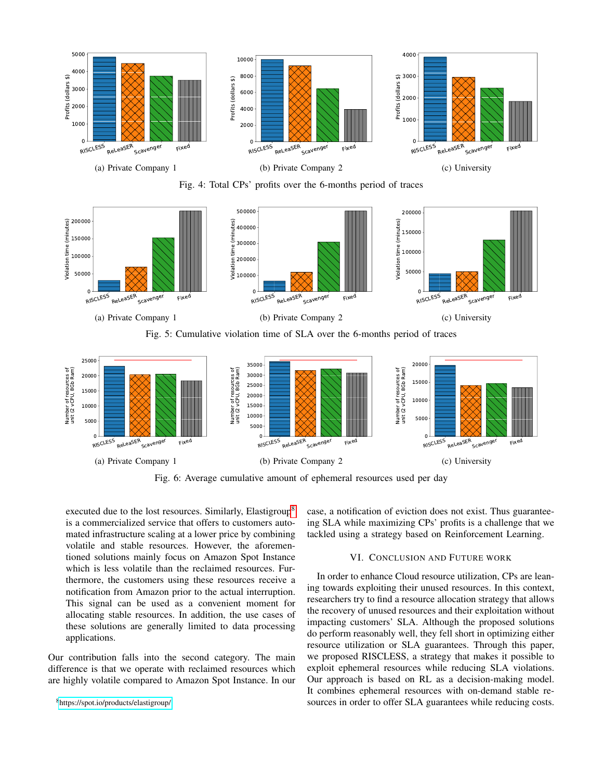<span id="page-7-1"></span>

Fig. 4: Total CPs' profits over the 6-months period of traces

<span id="page-7-2"></span>

Fig. 5: Cumulative violation time of SLA over the 6-months period of traces

<span id="page-7-3"></span>

Fig. 6: Average cumulative amount of ephemeral resources used per day

executed due to the lost resources. Similarly, Elastigroup<sup>[8](#page-7-4)</sup> is a commercialized service that offers to customers automated infrastructure scaling at a lower price by combining volatile and stable resources. However, the aforementioned solutions mainly focus on Amazon Spot Instance which is less volatile than the reclaimed resources. Furthermore, the customers using these resources receive a notification from Amazon prior to the actual interruption. This signal can be used as a convenient moment for allocating stable resources. In addition, the use cases of these solutions are generally limited to data processing applications.

Our contribution falls into the second category. The main difference is that we operate with reclaimed resources which are highly volatile compared to Amazon Spot Instance. In our case, a notification of eviction does not exist. Thus guaranteeing SLA while maximizing CPs' profits is a challenge that we tackled using a strategy based on Reinforcement Learning.

## VI. CONCLUSION AND FUTURE WORK

<span id="page-7-0"></span>In order to enhance Cloud resource utilization, CPs are leaning towards exploiting their unused resources. In this context, researchers try to find a resource allocation strategy that allows the recovery of unused resources and their exploitation without impacting customers' SLA. Although the proposed solutions do perform reasonably well, they fell short in optimizing either resource utilization or SLA guarantees. Through this paper, we proposed RISCLESS, a strategy that makes it possible to exploit ephemeral resources while reducing SLA violations. Our approach is based on RL as a decision-making model. It combines ephemeral resources with on-demand stable resources in order to offer SLA guarantees while reducing costs.

<span id="page-7-4"></span><sup>8</sup><https://spot.io/products/elastigroup/>